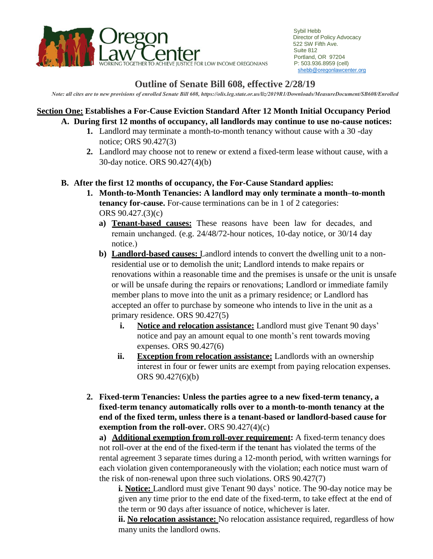

## **Outline of Senate Bill 608, effective 2/28/19**

*Note: all cites are to new provisions of enrolled Senate Bill 608, https://olis.leg.state.or.us/liz/2019R1/Downloads/MeasureDocument/SB608/Enrolled*

#### **Section One: Establishes a For-Cause Eviction Standard After 12 Month Initial Occupancy Period A. During first 12 months of occupancy, all landlords may continue to use no-cause notices:**

- **1.** Landlord may terminate a month-to-month tenancy without cause with a 30 -day notice; ORS 90.427(3)
- **2.** Landlord may choose not to renew or extend a fixed-term lease without cause, with a 30-day notice. ORS 90.427(4)(b)

### **B. After the first 12 months of occupancy, the For-Cause Standard applies:**

- **1. Month-to-Month Tenancies: A landlord may only terminate a month–to-month tenancy for-cause.** For-cause terminations can be in 1 of 2 categories: ORS 90.427.(3)(c)
	- **a) Tenant-based causes:** These reasons have been law for decades, and remain unchanged. (e.g. 24/48/72-hour notices, 10-day notice, or 30/14 day notice.)
	- **b) Landlord-based causes:** Landlord intends to convert the dwelling unit to a nonresidential use or to demolish the unit; Landlord intends to make repairs or renovations within a reasonable time and the premises is unsafe or the unit is unsafe or will be unsafe during the repairs or renovations; Landlord or immediate family member plans to move into the unit as a primary residence; or Landlord has accepted an offer to purchase by someone who intends to live in the unit as a primary residence. ORS 90.427(5)
		- **i. Notice and relocation assistance:** Landlord must give Tenant 90 days' notice and pay an amount equal to one month's rent towards moving expenses. ORS 90.427(6)
		- **ii. Exception from relocation assistance:** Landlords with an ownership interest in four or fewer units are exempt from paying relocation expenses. ORS 90.427(6)(b)
- **2. Fixed-term Tenancies: Unless the parties agree to a new fixed-term tenancy, a fixed-term tenancy automatically rolls over to a month-to-month tenancy at the end of the fixed term, unless there is a tenant-based or landlord-based cause for exemption from the roll-over.** ORS 90.427(4)(c)

**a) Additional exemption from roll-over requirement:** A fixed-term tenancy does not roll-over at the end of the fixed-term if the tenant has violated the terms of the rental agreement 3 separate times during a 12-month period, with written warnings for each violation given contemporaneously with the violation; each notice must warn of the risk of non-renewal upon three such violations. ORS 90.427(7)

**i. Notice:** Landlord must give Tenant 90 days' notice. The 90-day notice may be given any time prior to the end date of the fixed-term, to take effect at the end of the term or 90 days after issuance of notice, whichever is later.

**ii. No relocation assistance:** No relocation assistance required, regardless of how many units the landlord owns.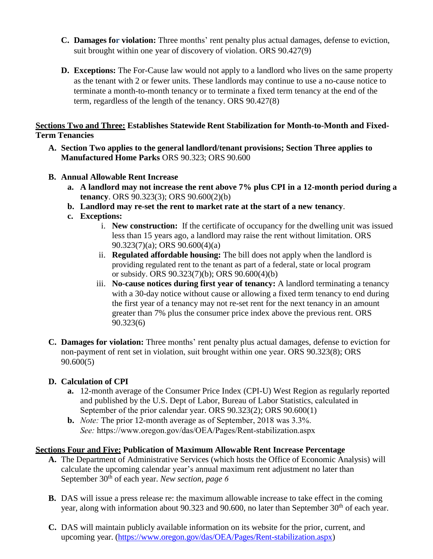- **C. Damages for violation:** Three months' rent penalty plus actual damages, defense to eviction, suit brought within one year of discovery of violation. ORS 90.427(9)
- **D. Exceptions:** The For-Cause law would not apply to a landlord who lives on the same property as the tenant with 2 or fewer units. These landlords may continue to use a no-cause notice to terminate a month-to-month tenancy or to terminate a fixed term tenancy at the end of the term, regardless of the length of the tenancy. ORS 90.427(8)

#### **Sections Two and Three: Establishes Statewide Rent Stabilization for Month-to-Month and Fixed-Term Tenancies**

- **A. Section Two applies to the general landlord/tenant provisions; Section Three applies to Manufactured Home Parks** ORS 90.323; ORS 90.600
- **B. Annual Allowable Rent Increase**
	- **a. A landlord may not increase the rent above 7% plus CPI in a 12-month period during a tenancy**. ORS 90.323(3); ORS 90.600(2)(b)
	- **b. Landlord may re-set the rent to market rate at the start of a new tenancy**.
	- **c. Exceptions:**
		- i. **New construction:** If the certificate of occupancy for the dwelling unit was issued less than 15 years ago, a landlord may raise the rent without limitation. ORS 90.323(7)(a); ORS 90.600(4)(a)
		- ii. **Regulated affordable housing:** The bill does not apply when the landlord is providing regulated rent to the tenant as part of a federal, state or local program or subsidy. ORS 90.323(7)(b); ORS 90.600(4)(b)
		- iii. **No-cause notices during first year of tenancy:** A landlord terminating a tenancy with a 30-day notice without cause or allowing a fixed term tenancy to end during the first year of a tenancy may not re-set rent for the next tenancy in an amount greater than 7% plus the consumer price index above the previous rent. ORS 90.323(6)
- **C. Damages for violation:** Three months' rent penalty plus actual damages, defense to eviction for non-payment of rent set in violation, suit brought within one year. ORS 90.323(8); ORS 90.600(5)

### **D. Calculation of CPI**

- **a.** 12-month average of the Consumer Price Index (CPI-U) West Region as regularly reported and published by the U.S. Dept of Labor, Bureau of Labor Statistics, calculated in September of the prior calendar year. ORS 90.323(2); ORS 90.600(1)
- **b.** *Note:* The prior 12-month average as of September, 2018 was 3.3%. *See:* https://www.oregon.gov/das/OEA/Pages/Rent-stabilization.aspx

### **Sections Four and Five: Publication of Maximum Allowable Rent Increase Percentage**

- **A.** The Department of Administrative Services (which hosts the Office of Economic Analysis) will calculate the upcoming calendar year's annual maximum rent adjustment no later than September 30th of each year. *New section, page 6*
- **B.** DAS will issue a press release re: the maximum allowable increase to take effect in the coming year, along with information about 90.323 and 90.600, no later than September 30<sup>th</sup> of each vear.
- **C.** DAS will maintain publicly available information on its website for the prior, current, and upcoming year. [\(https://www.oregon.gov/das/OEA/Pages/Rent-stabilization.aspx\)](https://www.oregon.gov/das/OEA/Pages/Rent-stabilization.aspx)